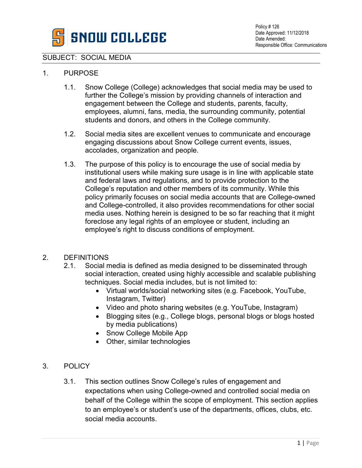

## SUBJECT: SOCIAL MEDIA

## 1. PURPOSE

- 1.1. Snow College (College) acknowledges that social media may be used to further the College's mission by providing channels of interaction and engagement between the College and students, parents, faculty, employees, alumni, fans, media, the surrounding community, potential students and donors, and others in the College community.
- 1.2. Social media sites are excellent venues to communicate and encourage engaging discussions about Snow College current events, issues, accolades, organization and people.
- 1.3. The purpose of this policy is to encourage the use of social media by institutional users while making sure usage is in line with applicable state and federal laws and regulations, and to provide protection to the College's reputation and other members of its community. While this policy primarily focuses on social media accounts that are College-owned and College-controlled, it also provides recommendations for other social media uses. Nothing herein is designed to be so far reaching that it might foreclose any legal rights of an employee or student, including an employee's right to discuss conditions of employment.

## 2. DEFINITIONS

- 2.1. Social media is defined as media designed to be disseminated through social interaction, created using highly accessible and scalable publishing techniques. Social media includes, but is not limited to:
	- Virtual worlds/social networking sites (e.g. Facebook, YouTube, Instagram, Twitter)
	- Video and photo sharing websites (e.g. YouTube, Instagram)
	- Blogging sites (e.g., College blogs, personal blogs or blogs hosted by media publications)
	- Snow College Mobile App
	- Other, similar technologies
- 3. POLICY
	- 3.1. This section outlines Snow College's rules of engagement and expectations when using College-owned and controlled social media on behalf of the College within the scope of employment. This section applies to an employee's or student's use of the departments, offices, clubs, etc. social media accounts.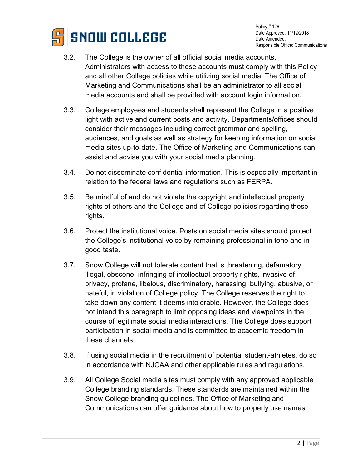

Policy # 126 Date Approved: 11/12/2018 Date Amended: Responsible Office: Communications

- 3.2. The College is the owner of all official social media accounts. Administrators with access to these accounts must comply with this Policy and all other College policies while utilizing social media. The Office of Marketing and Communications shall be an administrator to all social media accounts and shall be provided with account login information.
- 3.3. College employees and students shall represent the College in a positive light with active and current posts and activity. Departments/offices should consider their messages including correct grammar and spelling, audiences, and goals as well as strategy for keeping information on social media sites up-to-date. The Office of Marketing and Communications can assist and advise you with your social media planning.
- 3.4. Do not disseminate confidential information. This is especially important in relation to the federal laws and regulations such as FERPA.
- 3.5. Be mindful of and do not violate the copyright and intellectual property rights of others and the College and of College policies regarding those rights.
- 3.6. Protect the institutional voice. Posts on social media sites should protect the College's institutional voice by remaining professional in tone and in good taste.
- 3.7. Snow College will not tolerate content that is threatening, defamatory, illegal, obscene, infringing of intellectual property rights, invasive of privacy, profane, libelous, discriminatory, harassing, bullying, abusive, or hateful, in violation of College policy. The College reserves the right to take down any content it deems intolerable. However, the College does not intend this paragraph to limit opposing ideas and viewpoints in the course of legitimate social media interactions. The College does support participation in social media and is committed to academic freedom in these channels.
- 3.8. If using social media in the recruitment of potential student-athletes, do so in accordance with NJCAA and other applicable rules and regulations.
- 3.9. All College Social media sites must comply with any approved applicable College branding standards. These standards are maintained within the Snow College branding guidelines. The Office of Marketing and Communications can offer guidance about how to properly use names,